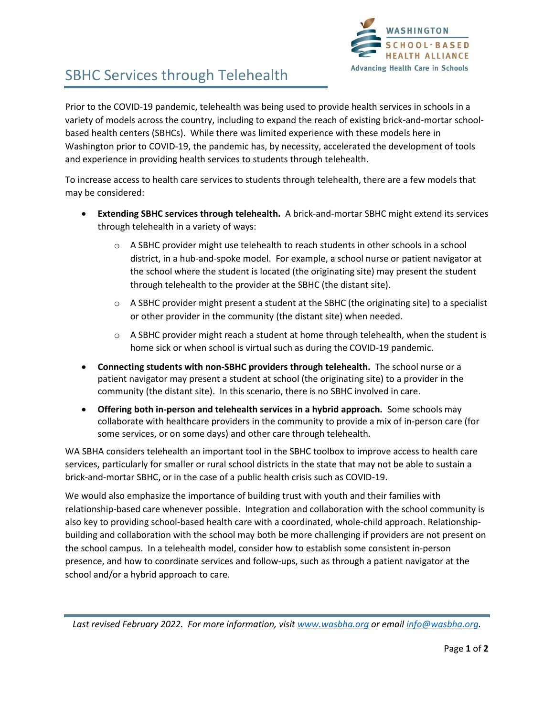

## SBHC Services through Telehealth

Prior to the COVID-19 pandemic, telehealth was being used to provide health services in schools in a variety of models across the country, including to expand the reach of existing brick-and-mortar schoolbased health centers (SBHCs). While there was limited experience with these models here in Washington prior to COVID-19, the pandemic has, by necessity, accelerated the development of tools and experience in providing health services to students through telehealth.

To increase access to health care services to students through telehealth, there are a few models that may be considered:

- **Extending SBHC services through telehealth.** A brick-and-mortar SBHC might extend its services through telehealth in a variety of ways:
	- $\circ$  A SBHC provider might use telehealth to reach students in other schools in a school district, in a hub-and-spoke model. For example, a school nurse or patient navigator at the school where the student is located (the originating site) may present the student through telehealth to the provider at the SBHC (the distant site).
	- $\circ$  A SBHC provider might present a student at the SBHC (the originating site) to a specialist or other provider in the community (the distant site) when needed.
	- $\circ$  A SBHC provider might reach a student at home through telehealth, when the student is home sick or when school is virtual such as during the COVID-19 pandemic.
- **Connecting students with non-SBHC providers through telehealth.** The school nurse or a patient navigator may present a student at school (the originating site) to a provider in the community (the distant site). In this scenario, there is no SBHC involved in care.
- **Offering both in-person and telehealth services in a hybrid approach.** Some schools may collaborate with healthcare providers in the community to provide a mix of in-person care (for some services, or on some days) and other care through telehealth.

WA SBHA considers telehealth an important tool in the SBHC toolbox to improve access to health care services, particularly for smaller or rural school districts in the state that may not be able to sustain a brick-and-mortar SBHC, or in the case of a public health crisis such as COVID-19.

We would also emphasize the importance of building trust with youth and their families with relationship-based care whenever possible. Integration and collaboration with the school community is also key to providing school-based health care with a coordinated, whole-child approach. Relationshipbuilding and collaboration with the school may both be more challenging if providers are not present on the school campus. In a telehealth model, consider how to establish some consistent in-person presence, and how to coordinate services and follow-ups, such as through a patient navigator at the school and/or a hybrid approach to care.

*Last revised February 2022. For more information, visi[t www.wasbha.org](http://www.wasbha.org/) or email [info@wasbha.org.](mailto:info@wasbha.org)*